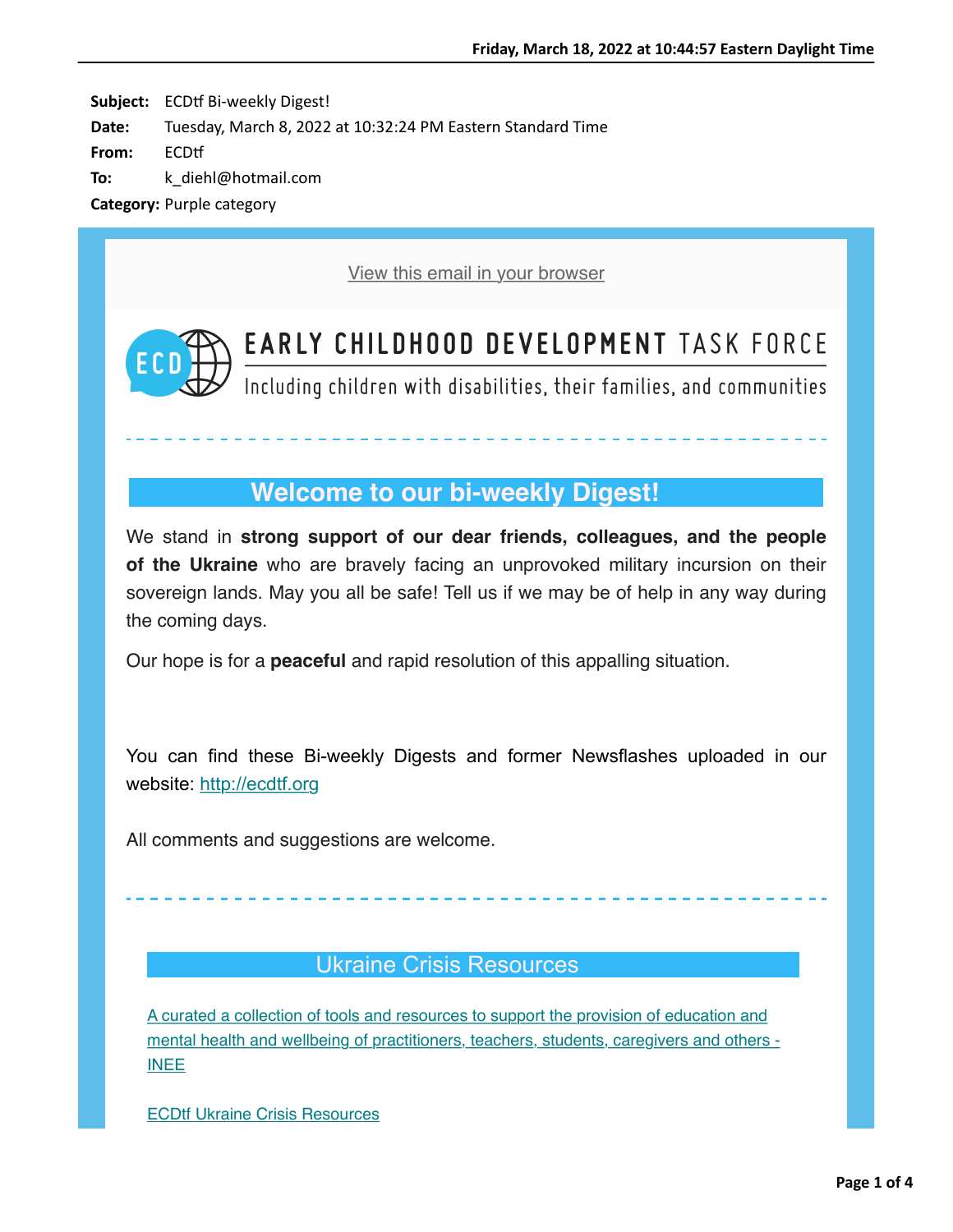Subject: ECDtf Bi-weekly Digest! **Date:** Tuesday, March 8, 2022 at 10:32:24 PM Eastern Standard Time **From:** ECDtf **To:** k\_diehl@hotmail.com **Category:** Purple category

[View this email in your browser](https://nam12.safelinks.protection.outlook.com/?url=https%3A%2F%2Fmailchi.mp%2F72d09eb61fc8%2Fecdtf-newsletter-15928402%3Fe%3D59e8206939&data=04%7C01%7C%7C04f62277534b4c69c52b08da017d6c62%7C84df9e7fe9f640afb435aaaaaaaaaaaa%7C1%7C0%7C637823935445498039%7CUnknown%7CTWFpbGZsb3d8eyJWIjoiMC4wLjAwMDAiLCJQIjoiV2luMzIiLCJBTiI6Ik1haWwiLCJXVCI6Mn0%3D%7C3000&sdata=YSxlljkSjalqg0RvJ%2B2VRgmSl7Mh388RUfgGeYYMtZc%3D&reserved=0)



# **EARLY CHILDHOOD DEVELOPMENT TASK FORCE**

Including children with disabilities, their families, and communities

## **Welcome to our bi-weekly Digest!**

We stand in **strong support of our dear friends, colleagues, and the people of the Ukraine** who are bravely facing an unprovoked military incursion on their sovereign lands. May you all be safe! Tell us if we may be of help in any way during the coming days.

Our hope is for a **peaceful** and rapid resolution of this appalling situation.

You can find these Bi-weekly Digests and former Newsflashes uploaded in our website: [http://ecdtf.org](https://nam12.safelinks.protection.outlook.com/?url=https%3A%2F%2Fhotmail.us20.list-manage.com%2Ftrack%2Fclick%3Fu%3Dfdbb07179dc5a2d4ccfab37d9%26id%3Dd7df523880%26e%3D59e8206939&data=04%7C01%7C%7C04f62277534b4c69c52b08da017d6c62%7C84df9e7fe9f640afb435aaaaaaaaaaaa%7C1%7C0%7C637823935445498039%7CUnknown%7CTWFpbGZsb3d8eyJWIjoiMC4wLjAwMDAiLCJQIjoiV2luMzIiLCJBTiI6Ik1haWwiLCJXVCI6Mn0%3D%7C3000&sdata=TliyUzY5EIIngunVh0T7z8AFkJARrH2fZdL1PVMqoGM%3D&reserved=0)

All comments and suggestions are welcome.

### Ukraine Crisis Resources

A curated a collection of tools and resources to support the provision of education and [mental health and wellbeing of practitioners, teachers, students, caregivers and others -](https://nam12.safelinks.protection.outlook.com/?url=https%3A%2F%2Fhotmail.us20.list-manage.com%2Ftrack%2Fclick%3Fu%3Dfdbb07179dc5a2d4ccfab37d9%26id%3Dc68ff11521%26e%3D59e8206939&data=04%7C01%7C%7C04f62277534b4c69c52b08da017d6c62%7C84df9e7fe9f640afb435aaaaaaaaaaaa%7C1%7C0%7C637823935445498039%7CUnknown%7CTWFpbGZsb3d8eyJWIjoiMC4wLjAwMDAiLCJQIjoiV2luMzIiLCJBTiI6Ik1haWwiLCJXVCI6Mn0%3D%7C3000&sdata=pZ1s1rN9C95RtF6nmTDVopjAcgcwi2dLKDA2%2FhLOSrk%3D&reserved=0) INEE

[ECDtf Ukraine Crisis Resources](https://nam12.safelinks.protection.outlook.com/?url=https%3A%2F%2Fhotmail.us20.list-manage.com%2Ftrack%2Fclick%3Fu%3Dfdbb07179dc5a2d4ccfab37d9%26id%3D0a86794a8a%26e%3D59e8206939&data=04%7C01%7C%7C04f62277534b4c69c52b08da017d6c62%7C84df9e7fe9f640afb435aaaaaaaaaaaa%7C1%7C0%7C637823935445498039%7CUnknown%7CTWFpbGZsb3d8eyJWIjoiMC4wLjAwMDAiLCJQIjoiV2luMzIiLCJBTiI6Ik1haWwiLCJXVCI6Mn0%3D%7C3000&sdata=Zd2xjVvWh1OlNcl%2Bc1gnLgpW98RxSt0K27XSX3GyFWA%3D&reserved=0)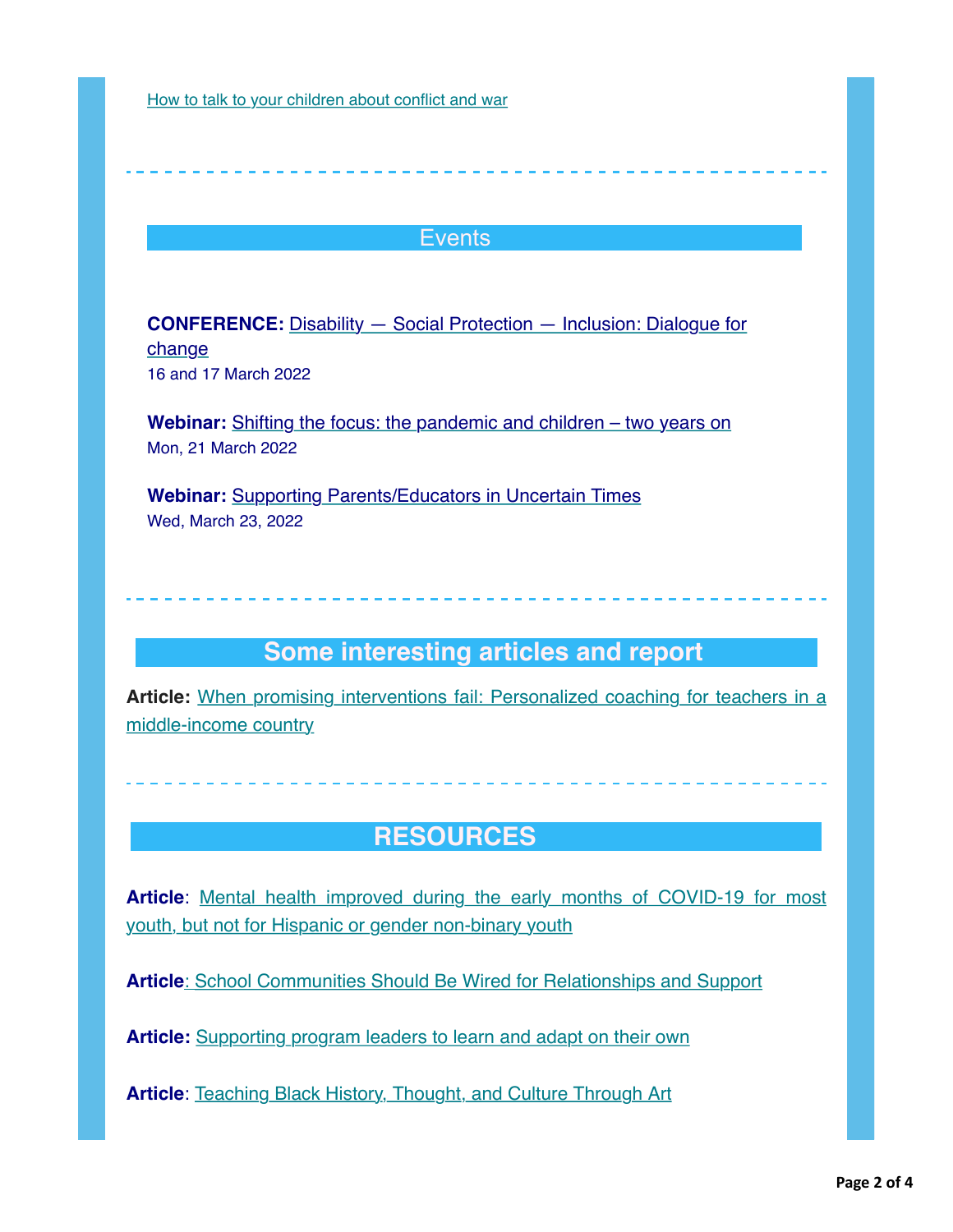[How to talk to your children about conflict and war](https://nam12.safelinks.protection.outlook.com/?url=https%3A%2F%2Fhotmail.us20.list-manage.com%2Ftrack%2Fclick%3Fu%3Dfdbb07179dc5a2d4ccfab37d9%26id%3D97a826d9ea%26e%3D59e8206939&data=04%7C01%7C%7C04f62277534b4c69c52b08da017d6c62%7C84df9e7fe9f640afb435aaaaaaaaaaaa%7C1%7C0%7C637823935445498039%7CUnknown%7CTWFpbGZsb3d8eyJWIjoiMC4wLjAwMDAiLCJQIjoiV2luMzIiLCJBTiI6Ik1haWwiLCJXVCI6Mn0%3D%7C3000&sdata=Zie0CY5X91YuI2Ja0CfLHLUk5GXFSrdnLwlxbxSCQv4%3D&reserved=0)

#### **Events**

**CONFERENCE:** [Disability — Social Protection — Inclusion: Dialogue for](https://nam12.safelinks.protection.outlook.com/?url=https%3A%2F%2Fhotmail.us20.list-manage.com%2Ftrack%2Fclick%3Fu%3Dfdbb07179dc5a2d4ccfab37d9%26id%3D0e677304a8%26e%3D59e8206939&data=04%7C01%7C%7C04f62277534b4c69c52b08da017d6c62%7C84df9e7fe9f640afb435aaaaaaaaaaaa%7C1%7C0%7C637823935445498039%7CUnknown%7CTWFpbGZsb3d8eyJWIjoiMC4wLjAwMDAiLCJQIjoiV2luMzIiLCJBTiI6Ik1haWwiLCJXVCI6Mn0%3D%7C3000&sdata=NVFJpOtXqXcNEDzJJpkHnPCtQTGrn92aPBkH9lizF2M%3D&reserved=0) change 16 and 17 March 2022

**Webinar:** [Shifting the focus: the pandemic and children – two years on](https://nam12.safelinks.protection.outlook.com/?url=https%3A%2F%2Fhotmail.us20.list-manage.com%2Ftrack%2Fclick%3Fu%3Dfdbb07179dc5a2d4ccfab37d9%26id%3D9544791b14%26e%3D59e8206939&data=04%7C01%7C%7C04f62277534b4c69c52b08da017d6c62%7C84df9e7fe9f640afb435aaaaaaaaaaaa%7C1%7C0%7C637823935445654273%7CUnknown%7CTWFpbGZsb3d8eyJWIjoiMC4wLjAwMDAiLCJQIjoiV2luMzIiLCJBTiI6Ik1haWwiLCJXVCI6Mn0%3D%7C3000&sdata=cLjIXvfNvyY40txSAK21UE2Zhcmpgo%2BpDrbjbznSUUQ%3D&reserved=0) Mon, 21 March 2022

**Webinar:** [Supporting Parents/Educators in Uncertain Times](https://nam12.safelinks.protection.outlook.com/?url=https%3A%2F%2Fhotmail.us20.list-manage.com%2Ftrack%2Fclick%3Fu%3Dfdbb07179dc5a2d4ccfab37d9%26id%3D13c103824e%26e%3D59e8206939&data=04%7C01%7C%7C04f62277534b4c69c52b08da017d6c62%7C84df9e7fe9f640afb435aaaaaaaaaaaa%7C1%7C0%7C637823935445654273%7CUnknown%7CTWFpbGZsb3d8eyJWIjoiMC4wLjAwMDAiLCJQIjoiV2luMzIiLCJBTiI6Ik1haWwiLCJXVCI6Mn0%3D%7C3000&sdata=Vyp2adAm2vpGB6TREyyLYbNcVniAQx8E8eA%2FiC3TlY0%3D&reserved=0) Wed, March 23, 2022

## **Some interesting articles and report**

**Article:** [When promising interventions fail: Personalized coaching for teachers in a](https://nam12.safelinks.protection.outlook.com/?url=https%3A%2F%2Fhotmail.us20.list-manage.com%2Ftrack%2Fclick%3Fu%3Dfdbb07179dc5a2d4ccfab37d9%26id%3Da79f479c1d%26e%3D59e8206939&data=04%7C01%7C%7C04f62277534b4c69c52b08da017d6c62%7C84df9e7fe9f640afb435aaaaaaaaaaaa%7C1%7C0%7C637823935445654273%7CUnknown%7CTWFpbGZsb3d8eyJWIjoiMC4wLjAwMDAiLCJQIjoiV2luMzIiLCJBTiI6Ik1haWwiLCJXVCI6Mn0%3D%7C3000&sdata=wBU%2BizpXDhNYaVk7gQ10LyFfK%2F%2FGc8KDuU9vwtogVDI%3D&reserved=0) middle-income country

## **RESOURCES**

**Article**[: Mental health improved during the early months of COVID-19 for most](https://nam12.safelinks.protection.outlook.com/?url=https%3A%2F%2Fhotmail.us20.list-manage.com%2Ftrack%2Fclick%3Fu%3Dfdbb07179dc5a2d4ccfab37d9%26id%3D15676766ba%26e%3D59e8206939&data=04%7C01%7C%7C04f62277534b4c69c52b08da017d6c62%7C84df9e7fe9f640afb435aaaaaaaaaaaa%7C1%7C0%7C637823935445654273%7CUnknown%7CTWFpbGZsb3d8eyJWIjoiMC4wLjAwMDAiLCJQIjoiV2luMzIiLCJBTiI6Ik1haWwiLCJXVCI6Mn0%3D%7C3000&sdata=E8klYdjyyxS6dNHOH0EuyxeqYHTtkjjnCm3Oun79HDI%3D&reserved=0) youth, but not for Hispanic or gender non-binary youth

**Article**[:](https://nam12.safelinks.protection.outlook.com/?url=https%3A%2F%2Fhotmail.us20.list-manage.com%2Ftrack%2Fclick%3Fu%3Dfdbb07179dc5a2d4ccfab37d9%26id%3Dd6af16c6c2%26e%3D59e8206939&data=04%7C01%7C%7C04f62277534b4c69c52b08da017d6c62%7C84df9e7fe9f640afb435aaaaaaaaaaaa%7C1%7C0%7C637823935445654273%7CUnknown%7CTWFpbGZsb3d8eyJWIjoiMC4wLjAwMDAiLCJQIjoiV2luMzIiLCJBTiI6Ik1haWwiLCJXVCI6Mn0%3D%7C3000&sdata=MxsYPXAw54P6pW8QJMRESISOfR1q8fcNQaSA%2B2z%2BwLQ%3D&reserved=0) [School Communities Should Be Wired for Relationships and Support](https://nam12.safelinks.protection.outlook.com/?url=https%3A%2F%2Fhotmail.us20.list-manage.com%2Ftrack%2Fclick%3Fu%3Dfdbb07179dc5a2d4ccfab37d9%26id%3Dd0d953e676%26e%3D59e8206939&data=04%7C01%7C%7C04f62277534b4c69c52b08da017d6c62%7C84df9e7fe9f640afb435aaaaaaaaaaaa%7C1%7C0%7C637823935445654273%7CUnknown%7CTWFpbGZsb3d8eyJWIjoiMC4wLjAwMDAiLCJQIjoiV2luMzIiLCJBTiI6Ik1haWwiLCJXVCI6Mn0%3D%7C3000&sdata=HhHjMtB3ZeUwhGwOl51gBZBEM99OxlALPQA2YCGNJiM%3D&reserved=0)

**Article:** [Supporting program leaders to learn and adapt on their own](https://nam12.safelinks.protection.outlook.com/?url=https%3A%2F%2Fhotmail.us20.list-manage.com%2Ftrack%2Fclick%3Fu%3Dfdbb07179dc5a2d4ccfab37d9%26id%3Dbdb100fdb3%26e%3D59e8206939&data=04%7C01%7C%7C04f62277534b4c69c52b08da017d6c62%7C84df9e7fe9f640afb435aaaaaaaaaaaa%7C1%7C0%7C637823935445654273%7CUnknown%7CTWFpbGZsb3d8eyJWIjoiMC4wLjAwMDAiLCJQIjoiV2luMzIiLCJBTiI6Ik1haWwiLCJXVCI6Mn0%3D%7C3000&sdata=KdHfl7MND99wXRTMmRSz%2FlWsfTvM0R%2FmuAw6aPXAjYI%3D&reserved=0)

**Article**: [Teaching Black History, Thought, and Culture Through Art](https://nam12.safelinks.protection.outlook.com/?url=https%3A%2F%2Fhotmail.us20.list-manage.com%2Ftrack%2Fclick%3Fu%3Dfdbb07179dc5a2d4ccfab37d9%26id%3Dc0b993fd22%26e%3D59e8206939&data=04%7C01%7C%7C04f62277534b4c69c52b08da017d6c62%7C84df9e7fe9f640afb435aaaaaaaaaaaa%7C1%7C0%7C637823935445654273%7CUnknown%7CTWFpbGZsb3d8eyJWIjoiMC4wLjAwMDAiLCJQIjoiV2luMzIiLCJBTiI6Ik1haWwiLCJXVCI6Mn0%3D%7C3000&sdata=g1jmciEXE1%2Bkl79QfKoSoz0RR8eXYqovss6Cpt7El3w%3D&reserved=0)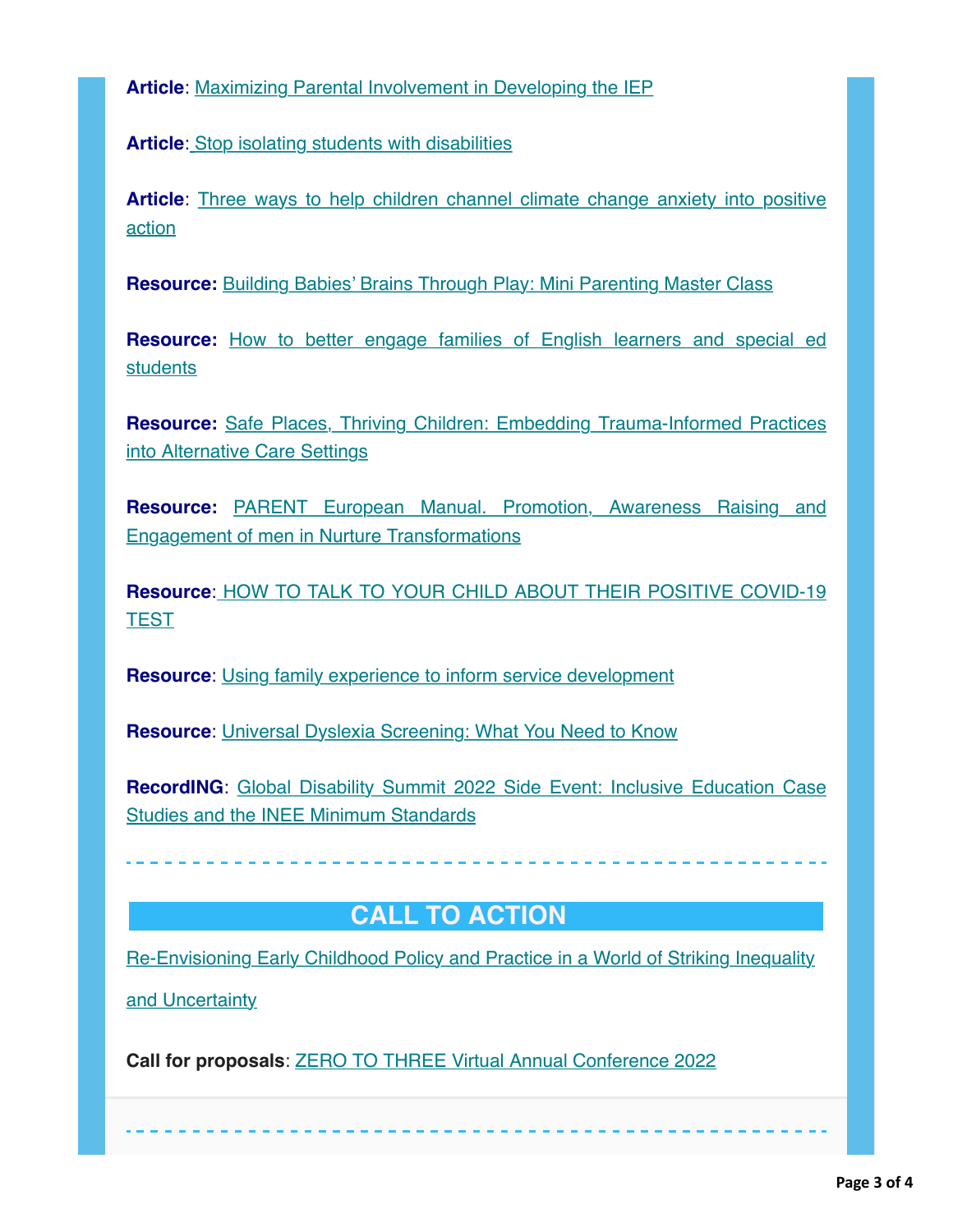**Article**: [Maximizing Parental Involvement in Developing the IEP](https://nam12.safelinks.protection.outlook.com/?url=https%3A%2F%2Fhotmail.us20.list-manage.com%2Ftrack%2Fclick%3Fu%3Dfdbb07179dc5a2d4ccfab37d9%26id%3D6b9d3a042a%26e%3D59e8206939&data=04%7C01%7C%7C04f62277534b4c69c52b08da017d6c62%7C84df9e7fe9f640afb435aaaaaaaaaaaa%7C1%7C0%7C637823935445654273%7CUnknown%7CTWFpbGZsb3d8eyJWIjoiMC4wLjAwMDAiLCJQIjoiV2luMzIiLCJBTiI6Ik1haWwiLCJXVCI6Mn0%3D%7C3000&sdata=%2F1wTh02s48jamygiC7G4s84WggW7L0eu2xrt0lT9e2U%3D&reserved=0)

**Article[:](https://nam12.safelinks.protection.outlook.com/?url=https%3A%2F%2Fhotmail.us20.list-manage.com%2Ftrack%2Fclick%3Fu%3Dfdbb07179dc5a2d4ccfab37d9%26id%3D62b10e7ef5%26e%3D59e8206939&data=04%7C01%7C%7C04f62277534b4c69c52b08da017d6c62%7C84df9e7fe9f640afb435aaaaaaaaaaaa%7C1%7C0%7C637823935445654273%7CUnknown%7CTWFpbGZsb3d8eyJWIjoiMC4wLjAwMDAiLCJQIjoiV2luMzIiLCJBTiI6Ik1haWwiLCJXVCI6Mn0%3D%7C3000&sdata=pFmZbmuA77I1O60xXurXfy%2FEVQQM8nQTzRoT4nkD69c%3D&reserved=0)** [Stop isolating students with disabilities](https://nam12.safelinks.protection.outlook.com/?url=https%3A%2F%2Fhotmail.us20.list-manage.com%2Ftrack%2Fclick%3Fu%3Dfdbb07179dc5a2d4ccfab37d9%26id%3D3464ae92cf%26e%3D59e8206939&data=04%7C01%7C%7C04f62277534b4c69c52b08da017d6c62%7C84df9e7fe9f640afb435aaaaaaaaaaaa%7C1%7C0%7C637823935445654273%7CUnknown%7CTWFpbGZsb3d8eyJWIjoiMC4wLjAwMDAiLCJQIjoiV2luMzIiLCJBTiI6Ik1haWwiLCJXVCI6Mn0%3D%7C3000&sdata=%2FSvn0dTklVOfWY2J5VGf%2Bf0U%2FcMBNp0AthvuX9ggeVY%3D&reserved=0)

**Article**[: Three ways to help children channel climate change anxiety into positive](https://nam12.safelinks.protection.outlook.com/?url=https%3A%2F%2Fhotmail.us20.list-manage.com%2Ftrack%2Fclick%3Fu%3Dfdbb07179dc5a2d4ccfab37d9%26id%3D32108a2413%26e%3D59e8206939&data=04%7C01%7C%7C04f62277534b4c69c52b08da017d6c62%7C84df9e7fe9f640afb435aaaaaaaaaaaa%7C1%7C0%7C637823935445654273%7CUnknown%7CTWFpbGZsb3d8eyJWIjoiMC4wLjAwMDAiLCJQIjoiV2luMzIiLCJBTiI6Ik1haWwiLCJXVCI6Mn0%3D%7C3000&sdata=Ju3UZeR65WHdUQA%2FqlIrvaFq17kWVByMxGLIj2qOXs4%3D&reserved=0) action

**Resource:** [Building Babies' Brains Through Play: Mini Parenting Master Class](https://nam12.safelinks.protection.outlook.com/?url=https%3A%2F%2Fhotmail.us20.list-manage.com%2Ftrack%2Fclick%3Fu%3Dfdbb07179dc5a2d4ccfab37d9%26id%3D96a20fc05a%26e%3D59e8206939&data=04%7C01%7C%7C04f62277534b4c69c52b08da017d6c62%7C84df9e7fe9f640afb435aaaaaaaaaaaa%7C1%7C0%7C637823935445654273%7CUnknown%7CTWFpbGZsb3d8eyJWIjoiMC4wLjAwMDAiLCJQIjoiV2luMzIiLCJBTiI6Ik1haWwiLCJXVCI6Mn0%3D%7C3000&sdata=%2BpiRLBrE1emA8nk%2B88JOK8VCE4bemPeWOVtkFZWu%2Bfk%3D&reserved=0)

**Resource:** [How to better engage families of English learners and special ed](https://nam12.safelinks.protection.outlook.com/?url=https%3A%2F%2Fhotmail.us20.list-manage.com%2Ftrack%2Fclick%3Fu%3Dfdbb07179dc5a2d4ccfab37d9%26id%3D35b37046a9%26e%3D59e8206939&data=04%7C01%7C%7C04f62277534b4c69c52b08da017d6c62%7C84df9e7fe9f640afb435aaaaaaaaaaaa%7C1%7C0%7C637823935445654273%7CUnknown%7CTWFpbGZsb3d8eyJWIjoiMC4wLjAwMDAiLCJQIjoiV2luMzIiLCJBTiI6Ik1haWwiLCJXVCI6Mn0%3D%7C3000&sdata=%2BySqItzDiceycaRH7N2G6zn8zWCVxINj35YDP06w0sk%3D&reserved=0) students

**Resource:** [Safe Places, Thriving Children: Embedding Trauma-Informed Practices](https://nam12.safelinks.protection.outlook.com/?url=https%3A%2F%2Fhotmail.us20.list-manage.com%2Ftrack%2Fclick%3Fu%3Dfdbb07179dc5a2d4ccfab37d9%26id%3D17a330a886%26e%3D59e8206939&data=04%7C01%7C%7C04f62277534b4c69c52b08da017d6c62%7C84df9e7fe9f640afb435aaaaaaaaaaaa%7C1%7C0%7C637823935445654273%7CUnknown%7CTWFpbGZsb3d8eyJWIjoiMC4wLjAwMDAiLCJQIjoiV2luMzIiLCJBTiI6Ik1haWwiLCJXVCI6Mn0%3D%7C3000&sdata=dJSwcofP4PeZfNaGapmyxjxQwTTrreYCs7xKWPipoRY%3D&reserved=0) into Alternative Care Settings

**Resource:** [PARENT European Manual. Promotion, Awareness Raising and](https://nam12.safelinks.protection.outlook.com/?url=https%3A%2F%2Fhotmail.us20.list-manage.com%2Ftrack%2Fclick%3Fu%3Dfdbb07179dc5a2d4ccfab37d9%26id%3Dd6dec74656%26e%3D59e8206939&data=04%7C01%7C%7C04f62277534b4c69c52b08da017d6c62%7C84df9e7fe9f640afb435aaaaaaaaaaaa%7C1%7C0%7C637823935445654273%7CUnknown%7CTWFpbGZsb3d8eyJWIjoiMC4wLjAwMDAiLCJQIjoiV2luMzIiLCJBTiI6Ik1haWwiLCJXVCI6Mn0%3D%7C3000&sdata=utWm4arX6jYSLd74Xz3y64QKrIVqTSg21odGX5bJCeo%3D&reserved=0) Engagement of men in Nurture Transformations

**Resource**[:](https://nam12.safelinks.protection.outlook.com/?url=https%3A%2F%2Fhotmail.us20.list-manage.com%2Ftrack%2Fclick%3Fu%3Dfdbb07179dc5a2d4ccfab37d9%26id%3D7b9d295b16%26e%3D59e8206939&data=04%7C01%7C%7C04f62277534b4c69c52b08da017d6c62%7C84df9e7fe9f640afb435aaaaaaaaaaaa%7C1%7C0%7C637823935445654273%7CUnknown%7CTWFpbGZsb3d8eyJWIjoiMC4wLjAwMDAiLCJQIjoiV2luMzIiLCJBTiI6Ik1haWwiLCJXVCI6Mn0%3D%7C3000&sdata=zrsSL7ot6D9YiGyhTafUqWn2U5FUbaBBAMW%2BNQEgU1M%3D&reserved=0) [HOW TO TALK TO YOUR CHILD ABOUT THEIR POSITIVE COVID-19](https://nam12.safelinks.protection.outlook.com/?url=https%3A%2F%2Fhotmail.us20.list-manage.com%2Ftrack%2Fclick%3Fu%3Dfdbb07179dc5a2d4ccfab37d9%26id%3Db964c39364%26e%3D59e8206939&data=04%7C01%7C%7C04f62277534b4c69c52b08da017d6c62%7C84df9e7fe9f640afb435aaaaaaaaaaaa%7C1%7C0%7C637823935445654273%7CUnknown%7CTWFpbGZsb3d8eyJWIjoiMC4wLjAwMDAiLCJQIjoiV2luMzIiLCJBTiI6Ik1haWwiLCJXVCI6Mn0%3D%7C3000&sdata=QZ07NpoPAY7PWFjgpV0lXzdtFuz7biMGxom%2BW3HX5Ds%3D&reserved=0) **TEST** 

**Resource**: [Using family experience to inform service development](https://nam12.safelinks.protection.outlook.com/?url=https%3A%2F%2Fhotmail.us20.list-manage.com%2Ftrack%2Fclick%3Fu%3Dfdbb07179dc5a2d4ccfab37d9%26id%3D843c2c12d5%26e%3D59e8206939&data=04%7C01%7C%7C04f62277534b4c69c52b08da017d6c62%7C84df9e7fe9f640afb435aaaaaaaaaaaa%7C1%7C0%7C637823935445654273%7CUnknown%7CTWFpbGZsb3d8eyJWIjoiMC4wLjAwMDAiLCJQIjoiV2luMzIiLCJBTiI6Ik1haWwiLCJXVCI6Mn0%3D%7C3000&sdata=aGFdsEjUBcjkda80dnQPlwkD%2BYTKxwFtsGe%2Ft%2Bk%2Fd9U%3D&reserved=0)

**Resource**: [Universal Dyslexia Screening: What You Need to Know](https://nam12.safelinks.protection.outlook.com/?url=https%3A%2F%2Fhotmail.us20.list-manage.com%2Ftrack%2Fclick%3Fu%3Dfdbb07179dc5a2d4ccfab37d9%26id%3De845415b12%26e%3D59e8206939&data=04%7C01%7C%7C04f62277534b4c69c52b08da017d6c62%7C84df9e7fe9f640afb435aaaaaaaaaaaa%7C1%7C0%7C637823935445654273%7CUnknown%7CTWFpbGZsb3d8eyJWIjoiMC4wLjAwMDAiLCJQIjoiV2luMzIiLCJBTiI6Ik1haWwiLCJXVCI6Mn0%3D%7C3000&sdata=%2F2hyHHQlfx4eADaZLt6ltR4bLWC2seMb7iYA8BSCilw%3D&reserved=0)

**RecordING**[: Global Disability Summit 2022 Side Event: Inclusive Education Case](https://nam12.safelinks.protection.outlook.com/?url=https%3A%2F%2Fhotmail.us20.list-manage.com%2Ftrack%2Fclick%3Fu%3Dfdbb07179dc5a2d4ccfab37d9%26id%3Dda27f525a8%26e%3D59e8206939&data=04%7C01%7C%7C04f62277534b4c69c52b08da017d6c62%7C84df9e7fe9f640afb435aaaaaaaaaaaa%7C1%7C0%7C637823935445654273%7CUnknown%7CTWFpbGZsb3d8eyJWIjoiMC4wLjAwMDAiLCJQIjoiV2luMzIiLCJBTiI6Ik1haWwiLCJXVCI6Mn0%3D%7C3000&sdata=MKoVFdhuUzxZXG%2F8QBzv9b7AT3jur1KLgoQDNODzm%2BM%3D&reserved=0) Studies and the INEE Minimum Standards

 **CALL TO ACTION** 

[Re-Envisioning Early Childhood Policy and Practice in a World of Striking Inequality](https://nam12.safelinks.protection.outlook.com/?url=https%3A%2F%2Fhotmail.us20.list-manage.com%2Ftrack%2Fclick%3Fu%3Dfdbb07179dc5a2d4ccfab37d9%26id%3D14d438ed4e%26e%3D59e8206939&data=04%7C01%7C%7C04f62277534b4c69c52b08da017d6c62%7C84df9e7fe9f640afb435aaaaaaaaaaaa%7C1%7C0%7C637823935445654273%7CUnknown%7CTWFpbGZsb3d8eyJWIjoiMC4wLjAwMDAiLCJQIjoiV2luMzIiLCJBTiI6Ik1haWwiLCJXVCI6Mn0%3D%7C3000&sdata=v%2BLQuUFUwWGSVHxDgzZaVA4OF6O9uITh%2FIlXKjTSBxs%3D&reserved=0)

and Uncertainty

**Call for proposals**: [ZERO TO THREE Virtual Annual Conference 2022](https://nam12.safelinks.protection.outlook.com/?url=https%3A%2F%2Fhotmail.us20.list-manage.com%2Ftrack%2Fclick%3Fu%3Dfdbb07179dc5a2d4ccfab37d9%26id%3De58740da11%26e%3D59e8206939&data=04%7C01%7C%7C04f62277534b4c69c52b08da017d6c62%7C84df9e7fe9f640afb435aaaaaaaaaaaa%7C1%7C0%7C637823935445810508%7CUnknown%7CTWFpbGZsb3d8eyJWIjoiMC4wLjAwMDAiLCJQIjoiV2luMzIiLCJBTiI6Ik1haWwiLCJXVCI6Mn0%3D%7C3000&sdata=Dw107EvGgzZRosWt9b%2FTV9vFeY0PsTnK%2FUens%2BZLq9I%3D&reserved=0)